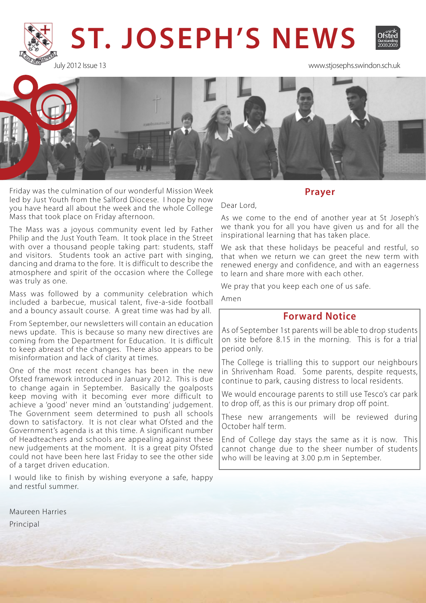

July 2012 Issue 13 www.stjosephs.swindon.sch.uk



Friday was the culmination of our wonderful Mission Week led by Just Youth from the Salford Diocese. I hope by now you have heard all about the week and the whole College Mass that took place on Friday afternoon.

The Mass was a joyous community event led by Father Philip and the Just Youth Team. It took place in the Street with over a thousand people taking part: students, staff and visitors. Students took an active part with singing, dancing and drama to the fore. It is difficult to describe the atmosphere and spirit of the occasion where the College was truly as one.

Mass was followed by a community celebration which included a barbecue, musical talent, five-a-side football and a bouncy assault course. A great time was had by all.

From September, our newsletters will contain an education news update. This is because so many new directives are coming from the Department for Education. It is difficult to keep abreast of the changes. There also appears to be misinformation and lack of clarity at times.

One of the most recent changes has been in the new Ofsted framework introduced in January 2012. This is due to change again in September. Basically the goalposts keep moving with it becoming ever more difficult to achieve a 'good' never mind an 'outstanding' judgement. The Government seem determined to push all schools down to satisfactory. It is not clear what Ofsted and the Government's agenda is at this time. A significant number of Headteachers and schools are appealing against these new judgements at the moment. It is a great pity Ofsted could not have been here last Friday to see the other side of a target driven education.

I would like to finish by wishing everyone a safe, happy and restful summer.

Maureen Harries Principal

**Prayer** 

Dear Lord,

As we come to the end of another year at St Joseph's we thank you for all you have given us and for all the inspirational learning that has taken place.

We ask that these holidays be peaceful and restful, so that when we return we can greet the new term with renewed energy and confidence, and with an eagerness to learn and share more with each other.

We pray that you keep each one of us safe.

Amen

# **Forward Notice**

As of September 1st parents will be able to drop students on site before 8.15 in the morning. This is for a trial period only.

The College is trialling this to support our neighbours in Shrivenham Road. Some parents, despite requests, continue to park, causing distress to local residents.

We would encourage parents to still use Tesco's car park to drop off, as this is our primary drop off point.

These new arrangements will be reviewed during October half term.

End of College day stays the same as it is now. This cannot change due to the sheer number of students who will be leaving at 3.00 p.m in September.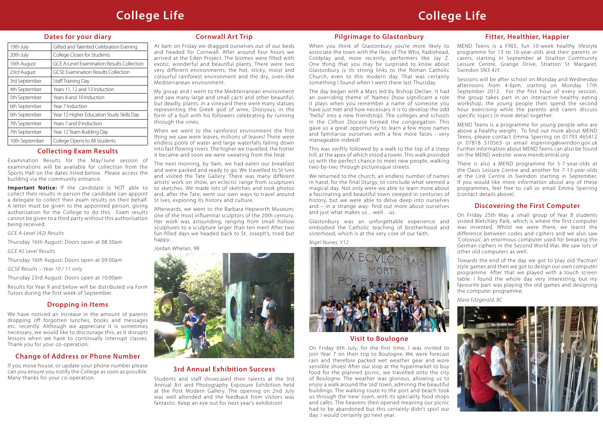# **Dates for your diary**

| Gifted and Talented Celebration Evening           |
|---------------------------------------------------|
|                                                   |
|                                                   |
| <b>GCE A-Level Examination Results Collection</b> |
|                                                   |
|                                                   |
|                                                   |
|                                                   |
|                                                   |
| Year 12 Higher Education Study Skills Day         |
|                                                   |
|                                                   |
|                                                   |
|                                                   |

# **College Life College Life**

# **3rd Annual Exhibition Success**

Students and staff showcased their talents at the 3rd Annual Art and Photography Exposure Exhibition held at the Post Modern Gallery. The opening on 2nd July was well attended and the feedback from visitors was fantastic. Keep an eye out for next year's exhibition!

# **Pilgrimage to Glastonbury**

The day began with a Mass led by Bishop Declan. It had an overriding theme of 'Names' (how significant a role it plays when you remember a name of someone you have just met and how necessary it is to develop the odd "hello" into a new friendship). The colleges and schools in the Clifton Diocese formed the congregation. This gave us a great opportunity to learn a few more names and familiarise ourselves with a few more faces - very manageable indeed!

This was swiftly followed by a walk to the top of a steep hill, at the apex of which stood a tower. This walk provided us with the perfect chance to meet new people, walking two-by-two through picturesque streets.

We returned to the church, an endless number of names in hand, for the final liturgy, to conclude what seemed a magical day. Not only were we able to learn more about a fascinating and beautiful town steeped in centuries of history, but we were able to delve deep into ourselves and – in a strange way- find out more about ourselves and just what makes us…well…us.

# **Cornwall Art Trip**

At 6am on Friday we dragged ourselves out of our beds and headed for Cornwall. After around four hours we arrived at the Eden Project. The biomes were filled with exotic, wonderful and beautiful plants. There were two very different environments; the hot, sticky, moist and colourful rainforest environment and the dry, oven-like Mediterranean environment.

My group and I went to the Mediterranean environment and saw many large and small cacti and other beautiful, but deadly, plants. In a vineyard there were many statues representing the Greek god of wine, Dionysus, in the form of a bull with his followers celebrating by running through the vines.

When we went to the rainforest environment the first thing we saw were leaves, millions of leaves! There were endless pools of water and large waterfalls falling down into fast flowing rivers. The higher we travelled, the hotter it became and soon we were sweating from the heat.

> Glastonbury was an unforgettable experience and embodied the Catholic teaching of brotherhood and sisterhood, which is at the very core of our faith. *Nigel Nunes, Y12* On Friday 25th May a small group of Year 8 students visited Bletchley Park, which is where the first computer was invented. Whilst we were there, we learnt the difference between codes and ciphers and we also saw 'Colossus', an enormous computer used for breaking the German ciphers in the Second World War. We saw lots of other old computers as well.

The next morning, by 9am, we had eaten our breakfast and were packed and ready to go. We travelled to St Ives and visited the Tate Gallery. There was many different artists' work on show, an eclectic range from sculptures to sketches. We made lots of sketches and took photos and, after the Tate, went our own ways to travel around St Ives, exploring its history and culture.

When you think of Glastonbury you're more likely to associate the town with the likes of The Who, Radiohead, Coldplay and, more recently, performers like Jay Z. One thing that you may be surprised to know about Glastonbury is its strong links to the Roman Catholic Church, even to this modern day. That was certainly something I found when I went there last Thursday. MEND Teens is a FREE, fun 10-week healthy lifestyle programme for 13 to 16-year-olds and their parents or carers, starting in September at Stratton Community Leisure Centre, Grange Drive, Stratton St Margaret, Swindon SN3 4JY. Sessions will be after school on Monday and Wednesday

Afterwards, we went to the Barbara Hepworth Museum, one of the most influential sculptors of the 20th century. Her work was astounding, ranging from small hollow sculptures to a sculpture larger than ten men! After two fun-filled days we headed back to St. Joseph's, tired but happy.

Jordan Whelan, 9B



# **Discovering the First Computer**

Towards the end of the day we got to play old 'Pacman' style games and then we got to design our own computer programme. After that we played with a touch screen table. I found the whole day very interesting, but my favourite part was playing the old games and designing the computer programme.





We have noticed an increase in the amount of parents dropping off forgotten lunches, books and messages etc. recently. Although we appreciate it is sometimes necessary, we would like to discourage this, as it disrupts lessons when we have to continually interrupt classes. Thank you for your co-operation.

# **Collecting Exam Results**

Examination Results for the May/June session of examinations will be available for collection from the Sports Hall on the dates listed below. Please access the building via the community entrance.

**Important Notice:** If the candidate is NOT able to collect their results in person the candidate can appoint a delegate to collect their exam results on their behalf. A letter must be given to the appointed person, giving authorisation for the College to do this. Exam results cannot be given to a third party without this authorisation being received.

*GCE A-Level (A2) Results*

Thursday 16th August: Doors open at 08:30am

*GCE AS Level Results* 

Thursday 16th August: Doors open at 09:00am

*GCSE Results – Year 10 / 11 only*

Thursday 23rd August: Doors open at 10:00am

Results for Year 9 and below will be distributed via Form Tutors during the first week of September.

# **Change of Address or Phone Number**

If you move house, or update your phone number please can you ensure you notify the College as soon as possible. Many thanks for your co-operation.

# **Fitter, Healthier, Happier**

afternoons from 4-6pm, starting on Monday 17th September 2012. For the first hour of every session, the group takes part in an interactive healthy eating workshop; the young people then spend the second hour exercising while the parents and carers discuss specific topics in more detail together.

MEND Teens is a programme for young people who are above a healthy weight. To find out more about MEND Teens, please contact Emma Sperring on 01793 465412 or 07818 510563 or email esperring@swindon.gov.uk Further information about MEND Teens can also be found on the MEND website: www.mendcentral.org

There is also a MEND programme for 5-7-year-olds at the Oasis Leisure Centre and another for 7-13-year-olds at the Link Centre in Swindon starting in September. If you would like more information about any of these programmes, feel free to call or email Emma Sperring (contact details above).

# **Visit to Boulogne**

On Friday 6th July, for the first time, I was invited to join Year 7 on their trip to Boulogne. We were forecast rain and therefore packed wet weather gear and wore sensible shoes! After our stop at the hypermarket to buy food for the planned picnic, we travelled onto the city of Boulogne. The weather was glorious, allowing us to enjoy a walk around the 'old' town, admiring the beautiful buildings. The walking route to the port and beach took us through the 'new' town, with its speciality food shops and cafes. The heavens then opened meaning our picnic had to be abandoned but this certainly didn't spoil our day. I would certainly go next year.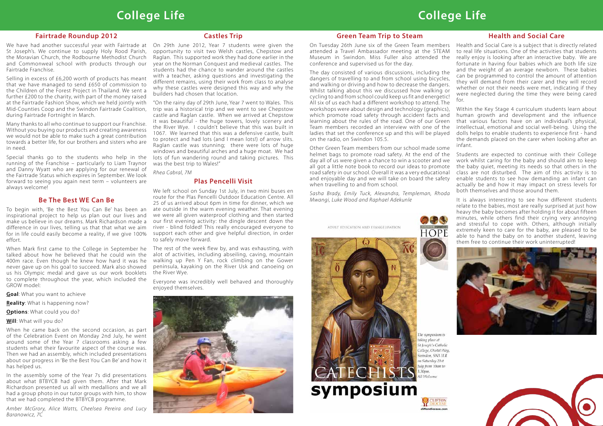# **College Life College Life**

## **Be The Best WE Can Be**

To begin with, 'Be the Best You Can Be' has been an inspirational project to help us plan out our lives and make us believe in our dreams. Mark Richardson made a difference in our lives, telling us that that what we aim for in life could easily become a reality, if we give 100% effort.

When Mark first came to the College in September he talked about how he believed that he could win the 400m race. Even though he knew how hard it was he never gave up on his goal to succeed. Mark also showed us his Olympic medal and gave us our work booklets to complete throughout the year, which included the GROW model:

**Goal**: What you want to achieve

**Reality**: What is happening now?

**Options**: What could you do?

#### **Will**: What will you do?

When he came back on the second occasion, as part of the Celebration Event on Monday 2nd July, he went around some of the Year 7 classrooms asking a few students what their favourite aspect of the course was. Then we had an assembly, which included presentations about our progress in 'Be the Best You Can Be' and how it has helped us.

In the assembly some of the Year 7s did presentations about what BTBYCB had given them. After that Mark Richardson presented us all with medallions and we all had a group photo in our tutor groups with him, to show that we had completed the BTBYCB programme.

*Amber McGrory, Alice Watts, Cheelsea Pereira and Lucy Baranowicz, 7C*

## **Health and Social Care**

Students are expected to continue with their College work whilst caring for the baby and should aim to keep the baby quiet, meeting its needs so that others in the class are not disturbed. The aim of this activity is to enable students to see how demanding an infant can actually be and how it may impact on stress levels for both themselves and those around them.

It is always interesting to see how different students relate to the babies, most are really surprised at just how heavy the baby becomes after holding it for about fifteen minutes, while others find their crying very annoying and stressful to cope with. Others, although initially extremely keen to care for the baby, are pleased to be able to hand the baby on to another student, leaving them free to continue their work uninterrupted!





Health and Social Care is a subject that is directly related to real life situations. One of the activities that students really enjoy is looking after an interactive baby. We are fortunate in having four babies which are both life size and the weight of an average newborn. These babies can be programmed to control the amount of attention they will demand from their carer and they will record whether or not their needs were met, indicating if they were neglected during the time they were being cared for. On Tuesday 26th June six of the Green Team members attended a Travel Ambassador meeting at the STEAM Museum in Swindon. Miss Fuller also attended the conference and supervised us for the day. The day consisted of various discussions, including the dangers of travelling to and from school using bicycles, and walking or driving and how to decrease the dangers. Whilst talking about this we discussed how walking or cycling to and from school could keep us fit and energetic!

# **Castles Trip**

On 29th June 2012, Year 7 students were given the opportunity to visit two Welsh castles, Chepstow and Raglan. This supported work they had done earlier in the year on the Norman Conquest and medieval castles. The students had the chance to wander around the castles with a teacher, asking questions and investigating the different remains, using their work from class to analyse why these castles were designed this way and why the builders had chosen that location.

Within the Key Stage 4 curriculum students learn about human growth and development and the influence that various factors have on an individual's physical, intellectual, emotional and social well-being. Using the dolls helps to enable students to experience first - hand the demands placed on the carer when looking after an infant. All six of us each had a different workshop to attend. The workshops were about design and technology (graphics), which promote road safety through accident facts and learning about the rules of the road. One of our Green Team members recorded an interview with one of the ladies that set the conference up and this will be played on the radio, on Swindon 105.5.

"On the rainy day of 29th June, Year 7 went to Wales. This trip was a historical trip and we went to see Chepstow castle and Raglan castle. When we arrived at Chepstow it was beautiful - the huge towers, lovely scenery and the River Wye. I couldn't believe that this was built in 1067. We learned that this was a defensive castle, built to protect and had lots (and I mean lots!) of arrow slits. Raglan castle was stunning; there were lots of huge windows and beautiful arches and a huge moat. We had lots of fun wandering round and taking pictures. This was the best trip to Wales!"

*Rhea Cabral, 7M*

## **Green Team Trip to Steam**

Other Green Team members from our school made some helmet bags to promote road safety. At the end of the day all of us were given a chance to win a scooter and we all got a little note book to record our ideas to promote road safety in our school. Overall it was a very educational and enjoyable day and we will take on board the safety when travelling to and from school.

*Sasha Brady, Emily Tuck, Alexandra, Templeman, Rhoda Mwangi, Luke Wood and Raphael Adekunle*

ADULT EDUCATION AND EVANGELISATION





The symposium is taking place at St Joseph's Catholic College, Ocotal Way, swindon, SN3 3LR m Saturday 21st July from 10am to  $30<sub>mm</sub>$ 



# **Fairtrade Roundup 2012**

We have had another successful year with Fairtrade at St Joseph's. We continue to supply Holy Rood Parish, the Moravian Church, the Rodbourne Methodist Church and Commonweal school with products through our Fairtrade Franchise.

Selling in excess of £6,200 worth of products has meant that we have managed to send £650 of commission to the Children of the Forest Project in Thailand. We sent a further £200 to the charity, with part of the money raised at the Fairtrade Fashion Show, which we held jointly with Mid-Counties Coop and the Swindon Fairtrade Coalition, during Fairtrade Fortnight in March.

Many thanks to all who continue to support our Franchise. Without you buying our products and creating awareness we would not be able to make such a great contribution towards a better life, for our brothers and sisters who are in need.

Special thanks go to the students who help in the running of the Franchise – particularly to Liam Traynor and Danny Wyatt who are applying for our renewal of the Fairtrade Status which expires in September. We look forward to seeing you again next term – volunteers are always welcome!

# **Plas Pencelli Visit**

We left school on Sunday 1st July, in two mini buses en route for the Plas Pencelli Outdoor Education Centre. All 25 of us arrived about 6pm in time for dinner, which we ate outside in the warm evening weather. That evening we were all given waterproof clothing and then started our first evening activity: the dingle descent down the river - blind folded! This really encouraged everyone to support each other and give helpful direction, in order to safely move forward.

The rest of the week flew by, and was exhausting, with alot of activities, including abseiling, caving, mountain walking up Pen Y Fan, rock climbing on the Gower peninsula, kayaking on the River Usk and canoeing on the River Wye.

Everyone was incredibly well behaved and thoroughly enjoyed themselves.

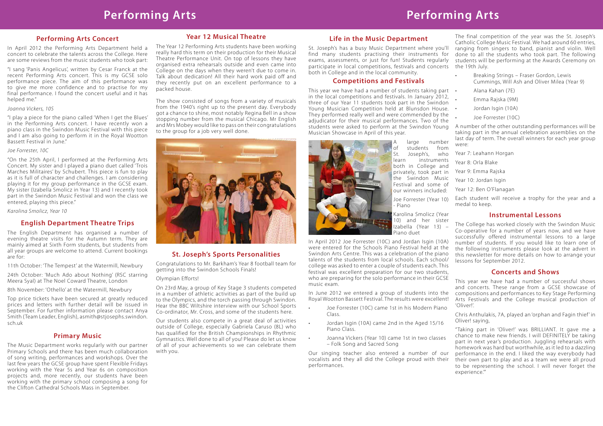# **Performing Arts Performing Arts**

# **Performing Arts Concert**

In April 2012 the Performing Arts Department held a concert to celebrate the talents across the College. Here are some reviews from the music students who took part:

"I sang 'Panis Angelicus', written by Cesar Franck at the recent Performing Arts concert. This is my GCSE solo performance piece. The aim of this performance was to give me more confidence and to practise for my final performance. I found the concert useful and it has helped me."

### *Joanna Vickers, 10S*

"I play a piece for the piano called 'When I get the Blues' in the Performing Arts concert. I have recently won a piano class in the Swindon Music Festival with this piece and I am also going to perform it in the Royal Wootton Bassett Festival in June."

### *Joe Forrester, 10C*

"On the 25th April, I performed at the Performing Arts Concert. My sister and I played a piano duet called 'Trois Marches Militaires' by Schubert. This piece is fun to play as it is full of character and challenges. I am considering playing it for my group performance in the GCSE exam. My sister (Izabella Smolicz in Year 13) and I recently took part in the Swindon Music Festival and won the class we entered, playing this piece."

*Karolina Smolicz, Year 10*

# **Primary Music**

The Music Department works regularly with our partner Primary Schools and there has been much collaboration of song writing, performances and workshops. Over the last few years the GCSE group have spent Flexible Fridays working with the Year 5s and Year 6s on composition projects and, more recently, our students have been working with the primary school composing a song for the Clifton Cathedral Schools Mass in September.

# **Year 12 Musical Theatre**

The Year 12 Performing Arts students have been working really hard this term on their production for their Musical Theatre Performance Unit. On top of lessons they have organised extra rehearsals outside and even came into College on the days when they weren't due to come in. Talk about dedication! All their hard work paid off and they recently put on an excellent performance to a packed house.

This year we have had a number of students taking part . in the local competitions and festivals. In January 2012, three of our Year 11 students took part in the Swindon Young Musician Competition held at Blunsdon House. . They performed really well and were commended by the adjudicator for their musical performances. Two of the students were asked to perform at the Swindon Young Musician Showcase in April of this year.



large number students from St. Joseph's, who learn instruments both in College and privately, took part in the Swindon Music Festival and some of our winners included:

The show consisted of songs from a variety of musicals from the 1940's right up to the present day. Everybody got a chance to shine, most notably Regina Bell in a show stopping number from the musical Chicago. Mr English and Mrs Mobey would like to pass on their congratulations to the group for a job very well done.



# **English Department Theatre Trips**

- Joe Forrester (10C) came 1st in his Modern Piano Class.
- Jordan Isgin (10A) came 2nd in the Aged 15/16 Piano Class.
- Joanna Vickers (Year 10) came 1st in two classes – Folk Song and Sacred Song

The English Department has organised a number of evening theatre visits for the Autumn term. They are mainly aimed at Sixth Form students, but students from all year groups are welcome to attend. Current bookings are for:

11th October: 'The Tempest' at the Watermill, Newbury

24th October: 'Much Ado about Nothing' (RSC starring Meera Syal) at The Noel Coward Theatre, London

8th November: 'Othello' at the Watermill, Newbury

Top price tickets have been secured at greatly reduced prices and letters with further detail will be issued in September. For further information please contact Anya Smith ( Team Leader, English), asmith@stjosephs.swindon. sch.uk

# **St. Joseph's Sports Personalities**

Congratulations to Mr. Barkham's Year 8 football team for getting into the Swindon Schools Finals!

#### Olympian Efforts!

**Life in the Music Department** St. Joseph's has a busy Music Department where you'll find many students practising their instruments for exams, assessments, or just for fun! Students regularly participate in local competitions, festivals and concerts both in College and in the local community. The final competition of the year was the St. Joseph's Catholic College Music Festival. We had around 60 entries, ranging from singers to band, pianist and violin. Well done to all the students who took part. The following students will be performing at the Awards Ceremony on the 19th July.

On 23rd May, a group of Key Stage 3 students competed in a number of athletic activities as part of the build up to the Olympics, and the torch passing through Swindon. Hear the BBC Wiltshire interview with our School Sports Co-ordinator, Mr. Cross, and some of the students here.

Our students also compete in a great deal of activities outside of College, especially Gabriela Caruso (8L) who has qualified for the British Championships in Rhythmic Gymnastics. Well done to all of you! Please do let us know of all of your achievements so we can celebrate them with you.

# **Competitions and Festivals**

Joe Forrester (Year 10) - Piano

Karolina Smolicz (Year 10) and her sister Izabella (Year 13) – Piano duet

In April 2012 Joe Forrester (10C) and Jordan Isgin (10A) were entered for the Schools Piano Festival held at the Swindon Arts Centre. This was a celebration of the piano talents of the students from local schools. Each school/ college was asked to enter a couple of students each. This festival was excellent preparation for our two students, who are preparing for the solo performance in their GCSE music exam.

In June 2012 we entered a group of students into the Royal Wootton Bassett Festival. The results were excellent! This year we have had a number of successful shows and concerts. These range from a GCSE showcase of compositions and performances to Key Stage Performing Arts Festivals and the College musical production of 'Oliver!'.

A number of the other outstanding performances will be taking part in the annual celebration assemblies on the last day of term. The overall winners for each year group were:

- Year 7: Leahann Horgan
- Year 8: Orla Blake
- Year 9: Emma Rajska
- Year 10: Jordan Isgin
- Year 12: Ben O'Flanagan

Each student will receive a trophy for the year and a medal to keep.

# **Instrumental Lessons**

Our singing teacher also entered a number of our vocalists and they all did the College proud with their performances. "Taking part in 'Oliver!' was BRILLIANT. It gave me a chance to make new friends. I will DEFINITELY be taking part in next year's production. Juggling rehearsals with homework was hard but worthwhile, as it led to a dazzling performance in the end. I liked the way everybody had their own part to play and as a team we were all proud to be representing the school. I will never forget the experience.'"

- Breaking Strings Fraser Gordon, Lewis Cummings, Will Ash and Oliver Milea (Year 9)
- Alana Kahan (7E)
- Emma Raiska (9M)
- Jordan Isgin (10A)
- Joe Forrester (10C)

The College has worked closely with the Swindon Music Co-operative for a number of years now, and we have successfully offered instrumental lessons to a large number of students. If you would like to learn one of the following instruments please look at the advert in this newsletter for more details on how to arrange your lessons for September 2012.

# **Concerts and Shows**

Chris Anthulakis, 7A, played an 'orphan and Fagin thief ' in Oliver! saying,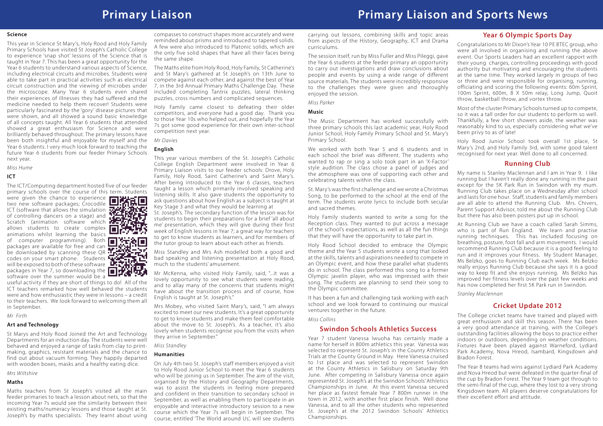# **Primary Liaison Primary Liaison and Sports News**

carrying out lessons, combining skills and topic areas from aspects of the History, Geography, ICT and Drama curriculums.

The session itself, run by Miss Fuller and Miss Pileggi, gave the Year 6 students at the feeder primary an opportunity to carry out investigations and draw conclusions about people and events by using a wide range of different source materials. The students were incredibly responsive to the challenges they were given and thoroughly enjoyed the session.

### *Miss Parker*

#### **Music**

The Music Department has worked successfully with three primary schools this last academic year, Holy Rood Junior School, Holy Family Primary School and St. Mary's Primary School.

We worked with both Year 5 and 6 students and in each school the brief was different. The students who wanted to rap or sing a solo took part in an 'X-Factor' style audition. The class chose a panel of judges and the atmosphere was one of supporting each other and celebrating talents within the class.

St. Mary's was the first challenge and we wrote a Christmas Song, to be performed to the school at the end of the term. The students wrote lyrics to include both secular and sacred themes.

Holy Family students wanted to write a song for the Reception class. They wanted to put across a message of the school's expectations, as well as all the fun things that they will have the opportunity to take part in.

Holy Rood School decided to embrace the Olympic theme and the Year 5 students wrote a song that looked at the skills, talents and aspirations needed to compete in an Olympic event, and how these parallel what students do in school. The class performed this song to a former Olympic javelin player, who was impressed with their song. The students are planning to send their song to the Olympic committee.

It has been a fun and challenging task working with each school and we look forward to continuing our musical ventures together in the future.

#### *Miss Collins*

#### **Science**

This year in Science St Mary's, Holy Rood and Holy Family Primary Schools have visited St Joseph's Catholic College to experience 'snap shot' lessons of the Science that is taught in Year 7. This has been a great opportunity for the Year 6 students to understand various aspects of Science, including electrical circuits and microbes. Students were able to take part in practical activities such as electrical circuit construction and the viewing of microbes under the microscope. Many Year 6 students even shared their experiences of illnesses they had suffered and the medicine needed to help them recover! Students were particularly fascinated by the 'gory' disease pictures that were shown, and all showed a sound basic knowledge of all concepts taught. All Year 6 students that attended showed a great enthusiasm for Science and were brilliantly behaved throughout. The primary lessons have been both insightful and enjoyable for myself and the Year 6 students. I very much look forward to teaching the future Year 6 students from our feeder Primary Schools next year.

#### *Miss Hume*

#### **ICT**

The ICT/Computing department hosted five of our feeder primary schools over the course of this term. Students

were given the chance to experience two new software packages; Crocodile ICT (software that allows the simulation of controlling dancers on a stage) and Scratch (animation software which allows students to create complex allows students to create complex  $\Box$  animations whilst learning the basics of computer programming). Both packages are available for free and can be downloaded by scanning these QR codes on your smart phone. Students will be exposed to both of these software packages in Year 7, so downloading the software over the summer would be a



useful activity if they are short of things to do! All of the ICT teachers remarked how well behaved the students were and how enthusiastic they were in lessons – a credit to their teachers. We look forward to welcoming them all in September.

*Mr Firth*

#### **Art and Technology**

St Marys and Holy Rood Joined the Art and Technology Departments for an induction day. The students were well behaved and enjoyed a range of tasks from clay to printmaking, graphics, resistant materials and the chance to find out about vacuum forming. They happily departed with wooden boxes, masks and a healthy eating dice.

*Mrs Wiltshire*

#### **Maths**

Maths teachers from St Joseph's visited all the main feeder primaries to teach a lesson about nets, so that the incoming Year 7s would see the similarity between their existing maths/numeracy lessons and those taught at St. Joseph's by maths specialists. They learnt about using compasses to construct shapes more accurately and were reminded about prisms and introduced to tapered solids. A few were also introduced to Platonic solids, which are the only five solid shapes that have all their faces being the same shape.

The Maths elite from Holy Rood, Holy Family, St Catherine's and St Mary's gathered at St Joseph's on 13th June to compete against each other, and against the best of Year 7, in the 3rd Annual Primary Maths Challenge Day. These included completing Tantrix puzzles, lateral thinking puzzles, cross numbers and complicated sequences.

Holy Family came closest to defeating their older competitors, and everyone had a good day. Thank you to those Year 10s who helped out, and hopefully the Year 7s got some good experience for their own inter-school competition next year.

*Mr Davies*

### **English**

This year various members of the St. Joseph's Catholic College English Department were involved in Year 6 Primary Liaison visits to our feeder schools: Drove, Holy Family, Holy Rood, Saint Catherine's and Saint Mary's. After being introduced to the Year 6 classes, teachers taught a lesson which primarily involved speaking and listening skills. It also gave students the opportunity to ask questions about how English as a subject is taught at Key Stage 3 and what they would be learning at

St. Joseph's. The secondary function of the lesson was for students to begin their preparations for a brief 'all about me' presentation, which they will give during their first week of English lessons in Year 7; a great way for teachers to get to know students as learners, and for members of the tutor group to learn about each other as friends.

Miss Standley and Mrs Ash modelled both a good and bad speaking and listening presentation at Holy Rood, much to the students' amusement.

Mr McKenna, who visited Holy Family, said, "...it was a lovely opportunity to see what students were reading, and to allay many of the concerns that students might have about the transition process and of course, how English is taught at St. Joseph's."

Mrs Mobey, who visited Saint Mary's, said, "I am always excited to meet our new students. It's a great opportunity to get to know students and make them feel comfortable about the move to St. Joseph's. As a teacher, it's also lovely when students recognise you from the visits when they arrive in September."

#### *Miss Standley*

#### **Humanities**

On July 4th two St. Joseph's staff members enjoyed a visit to Holy Rood Junior School to meet the Year 6 students who will be joining us in September. The aim of the visit, organised by the History and Geography Departments, was to assist the students in feeling more prepared and confident in their transition to secondary school in September, as well as enabling them to participate in an enjoyable and interactive introductory session to a new course which the Year 7s will begin in September. The course, entitled 'The World around Us', will see students

# **Year 6 Olympic Sports Day**

Congratulations to Mr Dixon's Year 10 PE BTEC group, who were all involved in organising and running the above event. Our Sports Leaders had an excellent rapport with their young charges, controlling proceedings with good authority but motivating and encouraging the students at the same time. They worked largely in groups of two or three and were responsible for organising, running, officiating and scoring the following events: 60m Sprint, 100m Sprint, 600m, 8 X 50m relay, Long Jump, Quoit throw, basketball throw, and vortex throw.

Most of the cluster Primary Schools turned up to compete, so it was a tall order for our students to perform so well. Thankfully, a few short showers aside, the weather was reasonably kind to us, especially considering what we've been privy to as of late!

Holy Rood Junior School took overall 1st place, St Mary's 2nd, and Holy Family 3rd, with some good talent recognised for next year. Well done to all concerned.

## **Swindon Schools Athletics Success**

Year 7 student Vanessa Iwuoha has certainly made a name for herself in 800m athletics this year. Vanessa was selected to represent St. Joseph's in the County Athletics Trials at the County Ground in May. Here Vanessa cruised to 1st place and was selected to represent Swindon at the County Athletics in Salisbury on Saturday 9th June. After competing in Salisbury Vanessa once again represented St. Joseph's at the Swindon Schools' Athletics Championships in June. At this event Vanessa secured her place as fastest female Year 7 800m runner in the town in 2012, with another first place finish. Well done Vanessa, and to all the other students who represented St. Joseph's at the 2012 Swindon Schools' Athletics Championships.

# **Running Club**

My name is Stanley Maclennan and I am in Year 9. I like running but I haven't really done any running in the past except for the 5K Park Run in Swindon with my mum. Running Club takes place on a Wednesday after school and lasts for one hour. Staff, students and family members are all able to attend the Running Club. Mrs. Chivers, Parent Support Advisor, told me about the Running Club but there has also been posters put up in school.

At Running Club we have a coach called Sarah Simms, who is part of Run England. We learn and practise running techniques. This has included focusing on breathing, posture, foot fall and arm movements. I would recommend Running Club because it is a good feeling to run and it improves your fitness. My Student Manager, Ms Belzko, goes to Running Club each week. Ms Belzko really enjoys Running Club because she says it is a good way to keep fit and she enjoys running. Ms Belzko has improved her fitness levels over the past few weeks and has now completed her first 5K Park run in Swindon.

*Stanley Maclennan*

# **Cricket Update 2012**

The College cricket teams have trained and played with great enthusiasm and skill this season. There has been a very good attendance at training, with the College's outstanding facilities allowing the boys to practice either indoors or outdoors, depending on weather conditions. Fixtures have been played against Warneford, Lydiard Park Academy, Nova Hreod, Isambard, Kingsdown and Bradon Forest.

The Year 8 teams had wins against Lydiard Park Academy and Nova Hreod but were defeated in the quarter-final of the cup by Bradon Forest. The Year 9 team got through to the semi-final of the cup, where they lost to a very strong Kingsdown team. All players deserve congratulations for their excellent effort and attitude.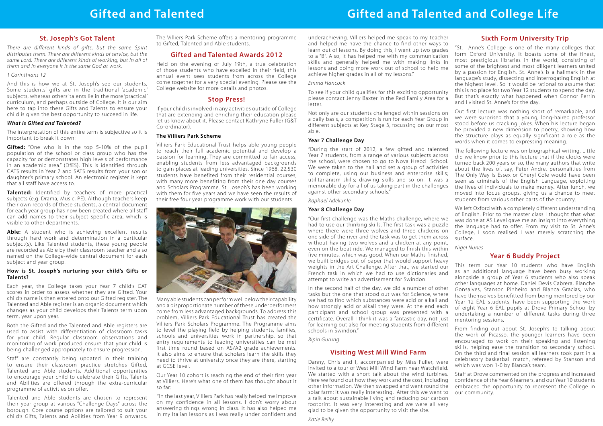# **Gifted and Talented Gifted and Talented and College Life**

# **St. Joseph's Got Talent**

*There are different kinds of gifts, but the same Spirit distributes them. There are different kinds of service, but the same Lord. There are different kinds of working, but in all of them and in everyone it is the same God at work.*

### *1 Corinthians 12*

And this is how we at St. Joseph's see our students. Some students' gifts are in the traditional 'academic' subjects, whereas others' talents lie in the more 'practical' curriculum, and perhaps outside of College. It is our aim here to tap into these Gifts and Talents to ensure your child is given the best opportunity to succeed in life.

**Gifted:** "One who is in the top 5-10% of the pupil population of the school or class group who has the capacity for or demonstrates high levels of performance in an academic area." (DfES). This is identified through CATS results in Year 7 and SATS results from your son or daughter's primary school. An electronic register is kept that all staff have access to.

### *What is Gifted and Talented?*

The interpretation of this entire term is subjective so it is important to break it down:

Able: A student who is achieving excellent results through hard work and determination in a particular subject(s). Like Talented students, these young people are recorded as Able by their classroom teacher and also named on the College-wide central document for each subject and year group.

**Talented:** Identified by teachers of more practical subjects (e.g. Drama, Music, PE). Although teachers keep their own records of these students, a central document for each year group has now been created where all staff can add names to their subject specific area, which is visible to other departments.

### **How is St. Joseph's nurturing your child's Gifts or Talents?**

Each year, the College takes your Year 7 child's CAT scores in order to assess whether they are Gifted. Your child's name is then entered onto our Gifted register. The Talented and Able register is an organic document which changes as your child develops their Talents term upon term, year upon year.

Both the Gifted and the Talented and Able registers are used to assist with differentiation of classroom tasks for your child. Regular classroom observations and monitoring of work produced ensure that your child is being challenged appropriately to ensure progression.

Staff are constantly being updated in their training to ensure their classroom practice stretches Gifted, Talented and Able students. Additional opportunities to encourage your child to celebrate their Gifts, Talents and Abilities are offered through the extra-curricular programme of activities on offer.

Talented and Able students are chosen to represent their year group at various "Challenge Days" across the borough. Core course options are tailored to suit your child's Gifts, Talents and Abilities from Year 9 onwards.

The Villiers Park Scheme offers a mentoring programme to Gifted, Talented and Able students.

# **Gifted and Talented Awards 2012**

Held on the evening of July 19th, a true celebration of those students who have excelled in their field, this annual event sees students from across the College come together for a very special evening. Please see the College website for more details and photos.

# **Stop Press!**

If your child is involved in any activities outside of College that are extending and enriching their education please let us know about it. Please contact Kathryne Fuller (G&T Co-ordinator).

# **The Villiers Park Scheme**

Villiers Park Educational Trust helps able young people to reach their full academic potential and develop a passion for learning. They are committed to fair access, enabling students from less advantaged backgrounds to gain places at leading universities. Since 1968, 22,530 students have benefited from their residential courses, with many more benefiting from their one day courses and Scholars Programme. St. Joseph's has been working with them for five years and we have seen the results of their free four year programme work with our students.



Many able students can perform well below their capability and a disproportionate number of these underperformers come from less advantaged backgrounds. To address this problem, Villiers Park Educational Trust has created the Villiers Park Scholars Programme. The Programme aims to level the playing field by helping students, families, schools and universities work in partnership, so that entry requirements to leading universities can be met first time round based on AS/A2 grade achievements. It also aims to ensure that scholars learn the skills they need to thrive at university once they are there, starting at GCSE level.

Our Year 10 cohort is reaching the end of their first year at Villiers. Here's what one of them has thought about it so far:

"In the last year, Villiers Park has really helped me improve on my confidence in all lessons. I don't worry about answering things wrong in class. It has also helped me in my Italian lessons as I was really under confident and underachieving. Villiers helped me speak to my teacher and helped me have the chance to find other ways to learn out of lessons. By doing this, I went up two grades to a "B". Also, it has helped me with my communication skills and generally helped me with making links in lessons and doing more work out of school to help me achieve higher grades in all of my lessons."

### *Emma Hancock*

To see if your child qualifies for this exciting opportunity please contact Jenny Baxter in the Red Family Area for a letter.

"During the start of 2012, a few gifted and talented Year 7 students, from a range of various subjects across the school, were chosen to go to Nova Hreod School. We were taken to the hall and set a group of activities to complete, using our business and enterprise skills; utilitarianism skills; drawing skills and so on. It was a memorable day for all of us taking part in the challenges against other secondary schools."

### *Raphael Adekunle*

## **Year 8 Challenge Day**

"Our first challenge was the Maths challenge, where we had to use our thinking skills. The first task was a puzzle where there were three wolves and three chickens on one side of the river and the task was to get them across without having two wolves and a chicken at any point, even on the boat ride. We managed to finish this within five minutes, which was good. When our Maths finished, we built bridges out of paper that would support heavy weights in the Art Challenge. After that, we started our French task in which we had to use dictionaries and attempt to write an advertisement for Swindon.

Not only are our students challenged within sessions on a daily basis, a competition is run for each Year Group in different subjects at Key Stage 3, focussing on our most able. **Year 7 Challenge Day** Out first lecture was nothing short of remarkable, and we were surprised that a young, long-haired professor stood before us cracking jokes. When his lecture began he provided a new dimension to poetry, showing how the structure plays as equally significant a role as the words when it comes to expressing meaning.

In the second half of the day, we did a number of other tasks but the one that stood out was for Science, where we had to find which substances were acid or alkali and how strongly acid or alkali they were. At the end each participant and school group was presented with a certificate. Overall I think it was a fantastic day, not just for learning but also for meeting students from different schools in Swindon."

*Bipin Gurung*

# **Sixth Form University Trip**

"St. Anne's College is one of the many colleges that form Oxford University. It boasts some of the finest, most prestigious libraries in the world, consisting of some of the brightest and most diligent learners united by a passion for English. St. Anne's is a hallmark in the language's study, dissecting and interrogating English at the highest level. So it would be rational to assume that this is no place for two Year 12 students to spend the day. But that's exactly what happened when Connor Perrin and I visited St. Anne's for the day.

The following lecture was on biographical writing. Little did we know prior to this lecture that if the clocks were turned back 200 years or so, the many authors that write about the lives of, say, Peter Andre, personalities from The Only Way Is Essex or Cheryl Cole would have been seen as criminals of the English Language, exploiting the lives of individuals to make money. After lunch, we moved into focus groups, giving us a chance to meet students from various other parts of the country.

We left Oxford with a completely different understanding of English. Prior to the master class I thought that what was done at AS Level gave me an insight into everything the language had to offer. From my visit to St. Anne's College, I soon realised I was merely scratching the surface.

*Nigel Nunes*

# **Visiting West Mill Wind Farm**

## *Katie Reilly*

# **Year 6 Buddy Project**

This term our Year 10 students who have English as an additional language have been busy working alongside a group of Year 6 students who also speak other languages at home. Daniel Devis Cabrera, Blanche Gonsalves, Stanson Pinheiro and Blanca Gracias, who have themselves benefitted from being mentored by our Year 12 EAL students, have been supporting the work of eight Year 6 EAL pupils at Drove Primary School by undertaking a number of different tasks during three mentoring sessions.

Danny, Chris and I, accompanied by Miss Fuller, were invited to a tour of West Mill Wind Farm near Watchfield. We started with a short talk about the wind turbines. Here we found out how they work and the cost, including other information. We then swapped and went round the solar farm; it was really interesting. After this we went to a talk about sustainable living and reducing our carbon footprint. It was very interesting and we were all very glad to be given the opportunity to visit the site. which was won 1-0 by Blanca's team. Staff at Drove commented on the progress and increased confidence of the Year 6 learners, and our Year 10 students embraced the opportunity to represent the College in our community.

From finding out about St. Joseph's to talking about the work of Picasso, the younger learners have been encouraged to work on their speaking and listening skills, helping ease the transition to secondary school. On the third and final session all learners took part in a celebratory basketball match, refereed by Stanson and